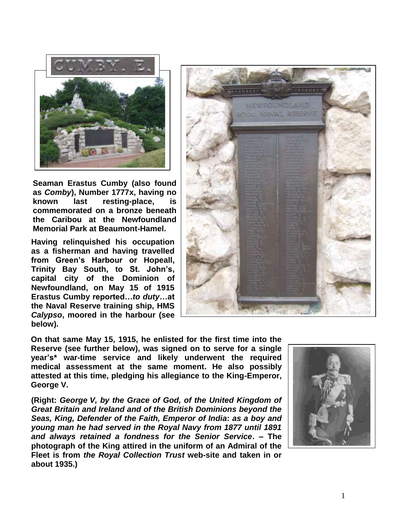

**Seaman Erastus Cumby (also found as** *Comby***), Number 1777x, having no known last resting-place, is commemorated on a bronze beneath the Caribou at the Newfoundland Memorial Park at Beaumont-Hamel.**

**Having relinquished his occupation as a fisherman and having travelled from Green's Harbour or Hopeall, Trinity Bay South, to St. John's, capital city of the Dominion of Newfoundland, on May 15 of 1915 Erastus Cumby reported…***to duty***…at the Naval Reserve training ship, HMS**  *Calypso***, moored in the harbour (see below).**



**On that same May 15, 1915, he enlisted for the first time into the Reserve (see further below), was signed on to serve for a single year's\* war-time service and likely underwent the required medical assessment at the same moment. He also possibly attested at this time, pledging his allegiance to the King-Emperor, George V.**

**(Right:** *George V, by the Grace of God, of the United Kingdom of Great Britain and Ireland and of the British Dominions beyond the Seas, King, Defender of the Faith, Emperor of India***:** *as a boy and young man he had served in the Royal Navy from 1877 until 1891 and always retained a fondness for the Senior Service***. – The photograph of the King attired in the uniform of an Admiral of the Fleet is from** *the Royal Collection Trust* **web-site and taken in or about 1935.)**

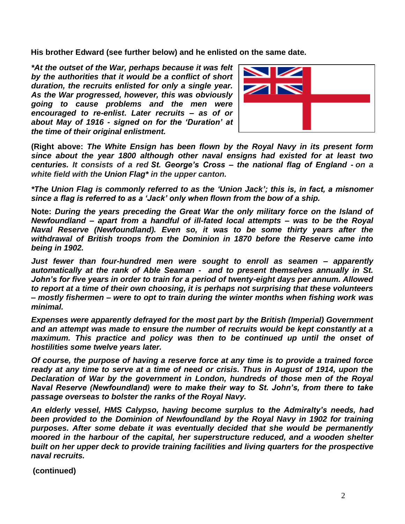**His brother Edward (see further below) and he enlisted on the same date.**

*\*At the outset of the War, perhaps because it was felt by the authorities that it would be a conflict of short duration, the recruits enlisted for only a single year. As the War progressed, however, this was obviously going to cause problems and the men were encouraged to re-enlist***.** *Later recruits – as of or about May of 1916 - signed on for the 'Duration' at the time of their original enlistment.*



**(Right above:** *The White Ensign has been flown by the Royal Navy in its present form since about the year 1800 although other naval ensigns had existed for at least two centuries. It consists of a red St. George's Cross – the national flag of England - on a white field with the Union Flag\* in the upper canton.*

*\*The Union Flag is commonly referred to as the 'Union Jack'; this is, in fact, a misnomer since a flag is referred to as a 'Jack' only when flown from the bow of a ship.* 

**Note:** *During the years preceding the Great War the only military force on the Island of Newfoundland – apart from a handful of ill-fated local attempts – was to be the Royal Naval Reserve (Newfoundland). Even so, it was to be some thirty years after the withdrawal of British troops from the Dominion in 1870 before the Reserve came into being in 1902.* 

*Just fewer than four-hundred men were sought to enroll as seamen – apparently automatically at the rank of Able Seaman - and to present themselves annually in St. John's for five years in order to train for a period of twenty-eight days per annum. Allowed to report at a time of their own choosing, it is perhaps not surprising that these volunteers – mostly fishermen – were to opt to train during the winter months when fishing work was minimal.*

*Expenses were apparently defrayed for the most part by the British (Imperial) Government and an attempt was made to ensure the number of recruits would be kept constantly at a maximum. This practice and policy was then to be continued up until the onset of hostilities some twelve years later.*

*Of course, the purpose of having a reserve force at any time is to provide a trained force ready at any time to serve at a time of need or crisis. Thus in August of 1914, upon the Declaration of War by the government in London, hundreds of those men of the Royal Naval Reserve (Newfoundland) were to make their way to St. John's, from there to take passage overseas to bolster the ranks of the Royal Navy.*

*An elderly vessel, HMS Calypso, having become surplus to the Admiralty's needs, had been provided to the Dominion of Newfoundland by the Royal Navy in 1902 for training purposes. After some debate it was eventually decided that she would be permanently moored in the harbour of the capital, her superstructure reduced, and a wooden shelter built on her upper deck to provide training facilities and living quarters for the prospective naval recruits.* 

**(continued)**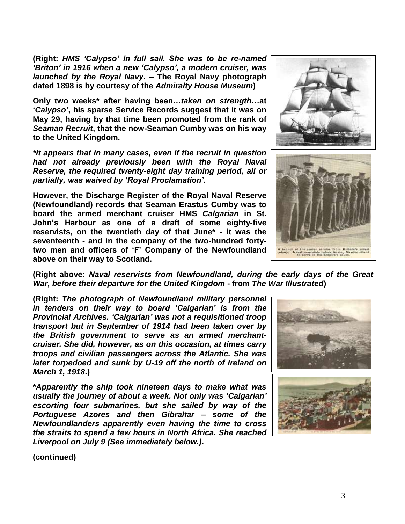**(Right:** *HMS 'Calypso' in full sail. She was to be re-named 'Briton' in 1916 when a new 'Calypso', a modern cruiser, was launched by the Royal Navy***. – The Royal Navy photograph dated 1898 is by courtesy of the** *Admiralty House Museum***)**

**Only two weeks\* after having been…***taken on strength***…at '***Calypso'***, his sparse Service Records suggest that it was on May 29, having by that time been promoted from the rank of**  *Seaman Recruit***, that the now-Seaman Cumby was on his way to the United Kingdom.**

*\*It appears that in many cases, even if the recruit in question had not already previously been with the Royal Naval Reserve, the required twenty-eight day training period, all or partially, was waived by 'Royal Proclamation'.*

**However, the Discharge Register of the Royal Naval Reserve (Newfoundland) records that Seaman Erastus Cumby was to board the armed merchant cruiser HMS** *Calgarian* **in St. John's Harbour as one of a draft of some eighty-five reservists, on the twentieth day of that June\* - it was the seventeenth - and in the company of the two-hundred fortytwo men and officers of 'F' Company of the Newfoundland above on their way to Scotland.** 



**(Right above:** *Naval reservists from Newfoundland, during the early days of the Great War, before their departure for the United Kingdom* **- from** *The War Illustrated***)**

**(Right:** *The photograph of Newfoundland military personnel in tenders on their way to board 'Calgarian' is from the Provincial Archives. 'Calgarian' was not a requisitioned troop transport but in September of 1914 had been taken over by the British government to serve as an armed merchantcruiser. She did, however, as on this occasion, at times carry troops and civilian passengers across the Atlantic. She was later torpedoed and sunk by U-19 off the north of Ireland on March 1, 1918***.)**

**\****Apparently the ship took nineteen days to make what was usually the journey of about a week. Not only was 'Calgarian' escorting four submarines, but she sailed by way of the Portuguese Azores and then Gibraltar – some of the Newfoundlanders apparently even having the time to cross the straits to spend a few hours in North Africa. She reached Liverpool on July 9 (See immediately below.)***.**



**(continued)**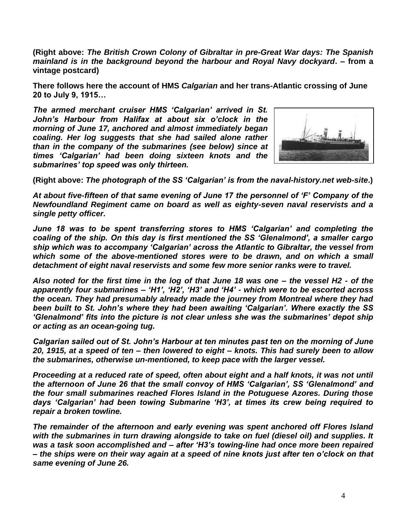**(Right above:** *The British Crown Colony of Gibraltar in pre-Great War days: The Spanish mainland is in the background beyond the harbour and Royal Navy dockyard***. – from a vintage postcard)**

**There follows here the account of HMS** *Calgarian* **and her trans-Atlantic crossing of June 20 to July 9, 1915…**

*The armed merchant cruiser HMS 'Calgarian' arrived in St. John's Harbour from Halifax at about six o'clock in the morning of June 17, anchored and almost immediately began coaling. Her log suggests that she had sailed alone rather than in the company of the submarines (see below) since at times 'Calgarian' had been doing sixteen knots and the submarines' top speed was only thirteen.*



**(Right above:** *The photograph of the SS 'Calgarian' is from the naval-history.net web-site***.)**

*At about five-fifteen of that same evening of June 17 the personnel of 'F' Company of the Newfoundland Regiment came on board as well as eighty-seven naval reservists and a single petty officer.*

*June 18 was to be spent transferring stores to HMS 'Calgarian' and completing the coaling of the ship. On this day is first mentioned the SS 'Glenalmond', a smaller cargo ship which was to accompany 'Calgarian' across the Atlantic to Gibraltar, the vessel from which some of the above-mentioned stores were to be drawn, and on which a small detachment of eight naval reservists and some few more senior ranks were to travel.* 

*Also noted for the first time in the log of that June 18 was one – the vessel H2 - of the apparently four submarines – 'H1', 'H2', 'H3' and 'H4' - which were to be escorted across the ocean. They had presumably already made the journey from Montreal where they had been built to St. John's where they had been awaiting 'Calgarian'. Where exactly the SS 'Glenalmond' fits into the picture is not clear unless she was the submarines' depot ship or acting as an ocean-going tug.*

*Calgarian sailed out of St. John's Harbour at ten minutes past ten on the morning of June 20, 1915, at a speed of ten – then lowered to eight – knots. This had surely been to allow the submarines, otherwise un-mentioned, to keep pace with the larger vessel.*

*Proceeding at a reduced rate of speed, often about eight and a half knots, it was not until the afternoon of June 26 that the small convoy of HMS 'Calgarian', SS 'Glenalmond' and the four small submarines reached Flores Island in the Potuguese Azores. During those days 'Calgarian' had been towing Submarine 'H3', at times its crew being required to repair a broken towline.*

*The remainder of the afternoon and early evening was spent anchored off Flores Island with the submarines in turn drawing alongside to take on fuel (diesel oil) and supplies. It was a task soon accomplished and – after 'H3's towing-line had once more been repaired – the ships were on their way again at a speed of nine knots just after ten o'clock on that same evening of June 26.*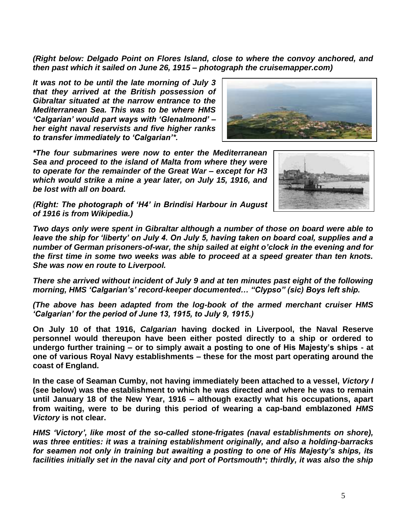*(Right below: Delgado Point on Flores Island, close to where the convoy anchored, and then past which it sailed on June 26, 1915 – photograph the cruisemapper.com)* 

*It was not to be until the late morning of July 3 that they arrived at the British possession of Gibraltar situated at the narrow entrance to the Mediterranean Sea. This was to be where HMS 'Calgarian' would part ways with 'Glenalmond' – her eight naval reservists and five higher ranks to transfer immediately to 'Calgarian'\*.*



*\*The four submarines were now to enter the Mediterranean Sea and proceed to the island of Malta from where they were to operate for the remainder of the Great War – except for H3 which would strike a mine a year later, on July 15, 1916, and be lost with all on board.* 



*(Right: The photograph of 'H4' in Brindisi Harbour in August of 1916 is from Wikipedia.)*

*Two days only were spent in Gibraltar although a number of those on board were able to leave the ship for 'liberty' on July 4. On July 5, having taken on board coal, supplies and a number of German prisoners-of-war, the ship sailed at eight o'clock in the evening and for the first time in some two weeks was able to proceed at a speed greater than ten knots. She was now en route to Liverpool.*

*There she arrived without incident of July 9 and at ten minutes past eight of the following morning, HMS 'Calgarian's' record-keeper documented… "Clypso" (sic) Boys left ship.*

*(The above has been adapted from the log-book of the armed merchant cruiser HMS 'Calgarian' for the period of June 13, 1915, to July 9, 1915.)*

**On July 10 of that 1916,** *Calgarian* **having docked in Liverpool, the Naval Reserve personnel would thereupon have been either posted directly to a ship or ordered to undergo further training – or to simply await a posting to one of His Majesty's ships - at one of various Royal Navy establishments – these for the most part operating around the coast of England.** 

**In the case of Seaman Cumby, not having immediately been attached to a vessel,** *Victory I* **(see below) was the establishment to which he was directed and where he was to remain until January 18 of the New Year, 1916 – although exactly what his occupations, apart from waiting, were to be during this period of wearing a cap-band emblazoned** *HMS Victory* **is not clear.**

*HMS 'Victory', like most of the so-called stone-frigates (naval establishments on shore), was three entities: it was a training establishment originally, and also a holding-barracks for seamen not only in training but awaiting a posting to one of His Majesty's ships, its facilities initially set in the naval city and port of Portsmouth\*; thirdly, it was also the ship*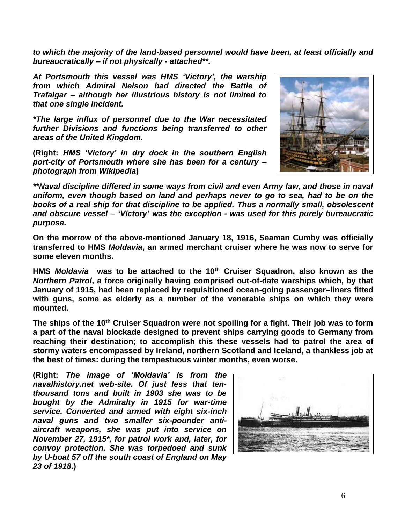*to which the majority of the land-based personnel would have been, at least officially and bureaucratically – if not physically - attached\*\*.* 

*At Portsmouth this vessel was HMS 'Victory', the warship from which Admiral Nelson had directed the Battle of Trafalgar – although her illustrious history is not limited to that one single incident.*

*\*The large influx of personnel due to the War necessitated further Divisions and functions being transferred to other areas of the United Kingdom.*

**(Right:** *HMS 'Victory' in dry dock in the southern English port-city of Portsmouth where she has been for a century – photograph from Wikipedia***)**



*\*\*Naval discipline differed in some ways from civil and even Army law, and those in naval uniform, even though based on land and perhaps never to go to sea, had to be on the books of a real ship for that discipline to be applied. Thus a normally small, obsolescent and obscure vessel – 'Victory' was the exception - was used for this purely bureaucratic purpose.*

**On the morrow of the above-mentioned January 18, 1916, Seaman Cumby was officially transferred to HMS** *Moldavia***, an armed merchant cruiser where he was now to serve for some eleven months.**

**HMS** *Moldavia* **was to be attached to the 10th Cruiser Squadron, also known as the**  *Northern Patrol***, a force originally having comprised out-of-date warships which, by that January of 1915, had been replaced by requisitioned ocean-going passenger–liners fitted with guns, some as elderly as a number of the venerable ships on which they were mounted.**

**The ships of the 10th Cruiser Squadron were not spoiling for a fight. Their job was to form a part of the naval blockade designed to prevent ships carrying goods to Germany from reaching their destination; to accomplish this these vessels had to patrol the area of stormy waters encompassed by Ireland, northern Scotland and Iceland, a thankless job at the best of times: during the tempestuous winter months, even worse.**

**(Right:** *The image of 'Moldavia' is from the navalhistory.net web-site. Of just less that tenthousand tons and built in 1903 she was to be bought by the Admiralty in 1915 for war-time service. Converted and armed with eight six-inch naval guns and two smaller six-pounder antiaircraft weapons, she was put into service on November 27, 1915\*, for patrol work and, later, for convoy protection. She was torpedoed and sunk by U-boat 57 off the south coast of England on May 23 of 1918***.)**

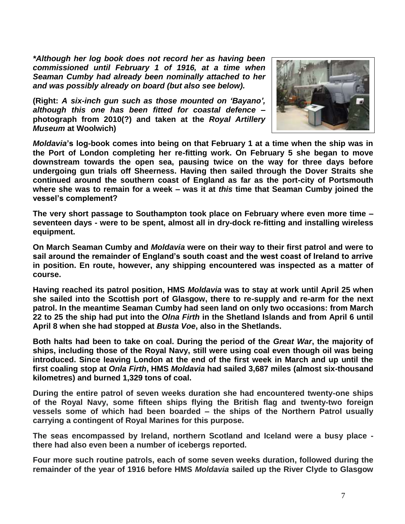*\*Although her log book does not record her as having been commissioned until February 1 of 1916, at a time when Seaman Cumby had already been nominally attached to her and was possibly already on board (but also see below).*

**(Right:** *A six-inch gun such as those mounted on 'Bayano', although this one has been fitted for coastal defence* **– photograph from 2010(?) and taken at the** *Royal Artillery Museum* **at Woolwich)**



*Moldavia***'s log-book comes into being on that February 1 at a time when the ship was in the Port of London completing her re-fitting work. On February 5 she began to move downstream towards the open sea, pausing twice on the way for three days before undergoing gun trials off Sheerness. Having then sailed through the Dover Straits she continued around the southern coast of England as far as the port-city of Portsmouth where she was to remain for a week – was it at** *this* **time that Seaman Cumby joined the vessel's complement?** 

**The very short passage to Southampton took place on February where even more time – seventeen days - were to be spent, almost all in dry-dock re-fitting and installing wireless equipment.**

**On March Seaman Cumby and** *Moldavia* **were on their way to their first patrol and were to sail around the remainder of England's south coast and the west coast of Ireland to arrive in position. En route, however, any shipping encountered was inspected as a matter of course.**

**Having reached its patrol position, HMS** *Moldavia* **was to stay at work until April 25 when she sailed into the Scottish port of Glasgow, there to re-supply and re-arm for the next patrol. In the meantime Seaman Cumby had seen land on only two occasions: from March 22 to 25 the ship had put into the** *Olna Firth* **in the Shetland Islands and from April 6 until April 8 when she had stopped at** *Busta Voe***, also in the Shetlands.**

**Both halts had been to take on coal. During the period of the** *Great War***, the majority of ships, including those of the Royal Navy, still were using coal even though oil was being introduced. Since leaving London at the end of the first week in March and up until the first coaling stop at** *Onla Firth***, HMS** *Moldavia* **had sailed 3,687 miles (almost six-thousand kilometres) and burned 1,329 tons of coal.**

**During the entire patrol of seven weeks duration she had encountered twenty-one ships of the Royal Navy, some fifteen ships flying the British flag and twenty-two foreign vessels some of which had been boarded – the ships of the Northern Patrol usually carrying a contingent of Royal Marines for this purpose.** 

**The seas encompassed by Ireland, northern Scotland and Iceland were a busy place there had also even been a number of icebergs reported.**

**Four more such routine patrols, each of some seven weeks duration, followed during the remainder of the year of 1916 before HMS** *Moldavia* **sailed up the River Clyde to Glasgow**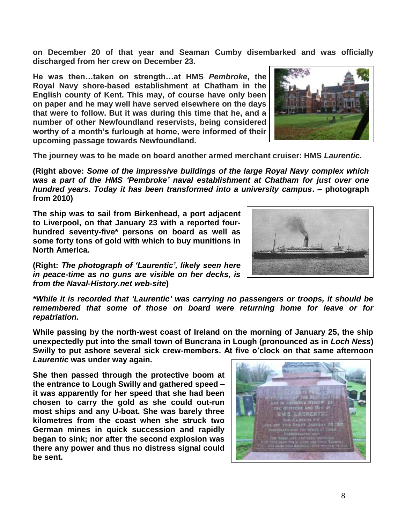**on December 20 of that year and Seaman Cumby disembarked and was officially discharged from her crew on December 23.** 

**He was then…taken on strength…at HMS** *Pembroke***, the Royal Navy shore-based establishment at Chatham in the English county of Kent. This may, of course have only been on paper and he may well have served elsewhere on the days that were to follow. But it was during this time that he, and a number of other Newfoundland reservists, being considered worthy of a month's furlough at home, were informed of their upcoming passage towards Newfoundland.**



**The journey was to be made on board another armed merchant cruiser: HMS** *Laurentic***.**

**(Right above:** *Some of the impressive buildings of the large Royal Navy complex which was a part of the HMS 'Pembroke' naval establishment at Chatham for just over one hundred years. Today it has been transformed into a university campus***. – photograph from 2010)**

**The ship was to sail from Birkenhead, a port adjacent to Liverpool, on that January 23 with a reported fourhundred seventy-five\* persons on board as well as some forty tons of gold with which to buy munitions in North America.**

**(Right:** *The photograph of 'Laurentic', likely seen here in peace-time as no guns are visible on her decks, is from the Naval-History.net web-site***)**

*\*While it is recorded that 'Laurentic' was carrying no passengers or troops, it should be remembered that some of those on board were returning home for leave or for repatriation.*

**While passing by the north-west coast of Ireland on the morning of January 25, the ship unexpectedly put into the small town of Buncrana in Lough (pronounced as in** *Loch Ness***) Swilly to put ashore several sick crew-members. At five o'clock on that same afternoon**  *Laurentic* **was under way again.**

**She then passed through the protective boom at the entrance to Lough Swilly and gathered speed – it was apparently for her speed that she had been chosen to carry the gold as she could out-run most ships and any U-boat. She was barely three kilometres from the coast when she struck two German mines in quick succession and rapidly began to sink; nor after the second explosion was there any power and thus no distress signal could be sent.**

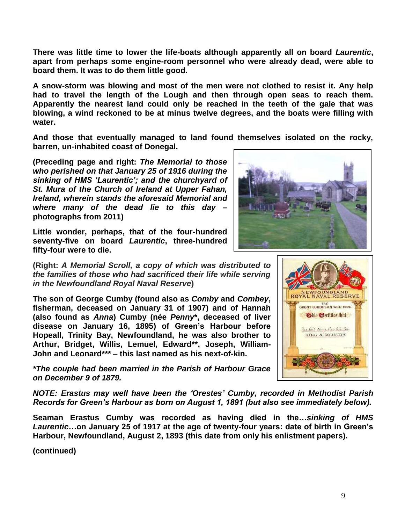**There was little time to lower the life-boats although apparently all on board** *Laurentic***, apart from perhaps some engine-room personnel who were already dead, were able to board them. It was to do them little good.**

**A snow-storm was blowing and most of the men were not clothed to resist it. Any help had to travel the length of the Lough and then through open seas to reach them. Apparently the nearest land could only be reached in the teeth of the gale that was blowing, a wind reckoned to be at minus twelve degrees, and the boats were filling with water.** 

**And those that eventually managed to land found themselves isolated on the rocky, barren, un-inhabited coast of Donegal.** 

**(Preceding page and right:** *The Memorial to those who perished on that January 25 of 1916 during the sinking of HMS 'Laurentic'; and the churchyard of St. Mura of the Church of Ireland at Upper Fahan, Ireland, wherein stands the aforesaid Memorial and where many of the dead lie to this day* **– photographs from 2011)** 

**Little wonder, perhaps, that of the four-hundred seventy-five on board** *Laurentic***, three-hundred fifty-four were to die.**

**(Right:** *A Memorial Scroll, a copy of which was distributed to the families of those who had sacrificed their life while serving in the Newfoundland Royal Naval Reserve***)**

**The son of George Cumby (found also as** *Comby* **and** *Combey***, fisherman, deceased on January 31 of 1907) and of Hannah (also found as** *Anna***) Cumby (née** *Penny***\*, deceased of liver disease on January 16, 1895) of Green's Harbour before Hopeall, Trinity Bay, Newfoundland, he was also brother to Arthur, Bridget, Willis, Lemuel, Edward\*\*, Joseph, William-John and Leonard\*\*\* – this last named as his next-of-kin.**

*\*The couple had been married in the Parish of Harbour Grace on December 9 of 1879.*

*NOTE: Erastus may well have been the 'Orestes' Cumby, recorded in Methodist Parish Records for Green's Harbour as born on August 1, 1891 (but also see immediately below).*

**Seaman Erastus Cumby was recorded as having died in the…***sinking of HMS Laurentic***…on January 25 of 1917 at the age of twenty-four years: date of birth in Green's Harbour, Newfoundland, August 2, 1893 (this date from only his enlistment papers).**

**(continued)**



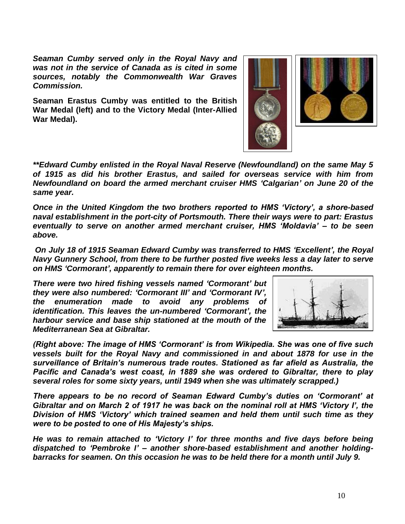*Seaman Cumby served only in the Royal Navy and was not in the service of Canada as is cited in some sources, notably the Commonwealth War Graves Commission.*

**Seaman Erastus Cumby was entitled to the British War Medal (left) and to the Victory Medal (Inter-Allied War Medal).**



*\*\*Edward Cumby enlisted in the Royal Naval Reserve (Newfoundland) on the same May 5 of 1915 as did his brother Erastus, and sailed for overseas service with him from Newfoundland on board the armed merchant cruiser HMS 'Calgarian' on June 20 of the same year.*

*Once in the United Kingdom the two brothers reported to HMS 'Victory', a shore-based naval establishment in the port-city of Portsmouth. There their ways were to part: Erastus eventually to serve on another armed merchant cruiser, HMS 'Moldavia' – to be seen above.*

*On July 18 of 1915 Seaman Edward Cumby was transferred to HMS 'Excellent', the Royal Navy Gunnery School, from there to be further posted five weeks less a day later to serve on HMS 'Cormorant', apparently to remain there for over eighteen months.*

*There were two hired fishing vessels named 'Cormorant' but they were also numbered: 'Cormorant III' and 'Cormorant IV', the enumeration made to avoid any problems of identification. This leaves the un-numbered 'Cormorant', the harbour service and base ship stationed at the mouth of the Mediterranean Sea at Gibraltar.*



*(Right above: The image of HMS 'Cormorant' is from Wikipedia. She was one of five such vessels built for the Royal Navy and commissioned in and about 1878 for use in the surveillance of Britain's numerous trade routes. Stationed as far afield as Australia, the Pacific and Canada's west coast, in 1889 she was ordered to Gibraltar, there to play several roles for some sixty years, until 1949 when she was ultimately scrapped.)*

*There appears to be no record of Seaman Edward Cumby's duties on 'Cormorant' at Gibraltar and on March 2 of 1917 he was back on the nominal roll at HMS 'Victory I', the Division of HMS 'Victory' which trained seamen and held them until such time as they were to be posted to one of His Majesty's ships.*

*He was to remain attached to 'Victory I' for three months and five days before being dispatched to 'Pembroke I' – another shore-based establishment and another holdingbarracks for seamen. On this occasion he was to be held there for a month until July 9.*